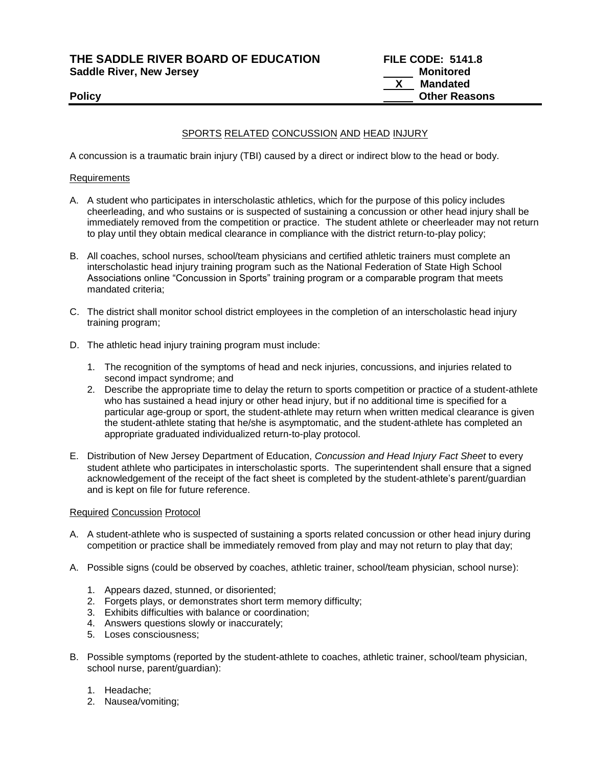**THE SADDLE RIVER BOARD OF EDUCATION FILE CODE: 5141.8**

**Saddle River, New Jersey** 

# SPORTS RELATED CONCUSSION AND HEAD INJURY

A concussion is a traumatic brain injury (TBI) caused by a direct or indirect blow to the head or body.

### Requirements

- A. A student who participates in interscholastic athletics, which for the purpose of this policy includes cheerleading, and who sustains or is suspected of sustaining a concussion or other head injury shall be immediately removed from the competition or practice. The student athlete or cheerleader may not return to play until they obtain medical clearance in compliance with the district return-to-play policy;
- B. All coaches, school nurses, school/team physicians and certified athletic trainers must complete an interscholastic head injury training program such as the National Federation of State High School Associations online "Concussion in Sports" training program or a comparable program that meets mandated criteria;
- C. The district shall monitor school district employees in the completion of an interscholastic head injury training program;
- D. The athletic head injury training program must include:
	- 1. The recognition of the symptoms of head and neck injuries, concussions, and injuries related to second impact syndrome; and
	- 2. Describe the appropriate time to delay the return to sports competition or practice of a student-athlete who has sustained a head injury or other head injury, but if no additional time is specified for a particular age-group or sport, the student-athlete may return when written medical clearance is given the student-athlete stating that he/she is asymptomatic, and the student-athlete has completed an appropriate graduated individualized return-to-play protocol.
- E. Distribution of New Jersey Department of Education, *Concussion and Head Injury Fact Sheet* to every student athlete who participates in interscholastic sports. The superintendent shall ensure that a signed acknowledgement of the receipt of the fact sheet is completed by the student-athlete's parent/guardian and is kept on file for future reference.

### Required Concussion Protocol

- A. A student-athlete who is suspected of sustaining a sports related concussion or other head injury during competition or practice shall be immediately removed from play and may not return to play that day;
- A. Possible signs (could be observed by coaches, athletic trainer, school/team physician, school nurse):
	- 1. Appears dazed, stunned, or disoriented;
	- 2. Forgets plays, or demonstrates short term memory difficulty;
	- 3. Exhibits difficulties with balance or coordination;
	- 4. Answers questions slowly or inaccurately;
	- 5. Loses consciousness;
- B. Possible symptoms (reported by the student-athlete to coaches, athletic trainer, school/team physician, school nurse, parent/guardian):
	- 1. Headache;
	- 2. Nausea/vomiting;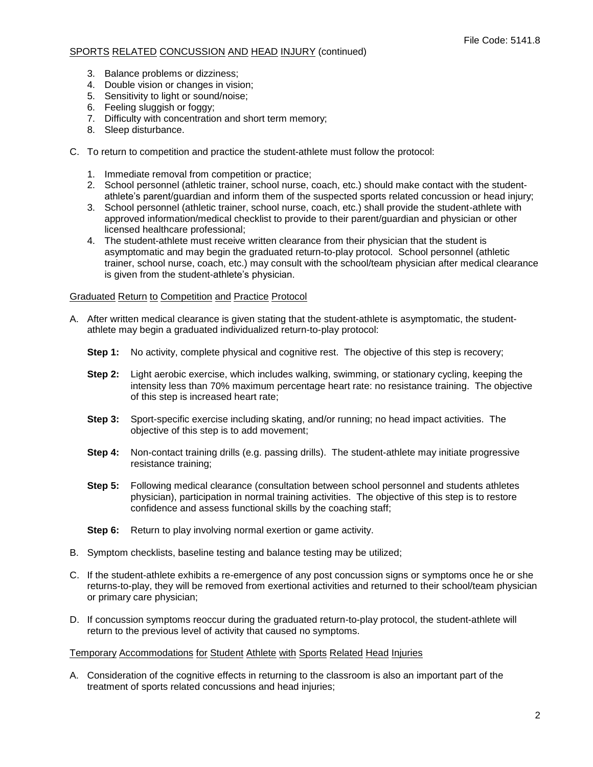## SPORTS RELATED CONCUSSION AND HEAD INJURY (continued)

- 3. Balance problems or dizziness;
- 4. Double vision or changes in vision;
- 5. Sensitivity to light or sound/noise;
- 6. Feeling sluggish or foggy;
- 7. Difficulty with concentration and short term memory;
- 8. Sleep disturbance.
- C. To return to competition and practice the student-athlete must follow the protocol:
	- 1. Immediate removal from competition or practice;
	- 2. School personnel (athletic trainer, school nurse, coach, etc.) should make contact with the studentathlete's parent/guardian and inform them of the suspected sports related concussion or head injury;
	- 3. School personnel (athletic trainer, school nurse, coach, etc.) shall provide the student-athlete with approved information/medical checklist to provide to their parent/guardian and physician or other licensed healthcare professional;
	- 4. The student-athlete must receive written clearance from their physician that the student is asymptomatic and may begin the graduated return-to-play protocol. School personnel (athletic trainer, school nurse, coach, etc.) may consult with the school/team physician after medical clearance is given from the student-athlete's physician.

#### Graduated Return to Competition and Practice Protocol

- A. After written medical clearance is given stating that the student-athlete is asymptomatic, the studentathlete may begin a graduated individualized return-to-play protocol:
	- **Step 1:** No activity, complete physical and cognitive rest. The objective of this step is recovery;
	- **Step 2:** Light aerobic exercise, which includes walking, swimming, or stationary cycling, keeping the intensity less than 70% maximum percentage heart rate: no resistance training. The objective of this step is increased heart rate;
	- **Step 3:** Sport-specific exercise including skating, and/or running; no head impact activities. The objective of this step is to add movement;
	- **Step 4:** Non-contact training drills (e.g. passing drills). The student-athlete may initiate progressive resistance training;
	- **Step 5:** Following medical clearance (consultation between school personnel and students athletes physician), participation in normal training activities. The objective of this step is to restore confidence and assess functional skills by the coaching staff;
	- **Step 6:** Return to play involving normal exertion or game activity.
- B. Symptom checklists, baseline testing and balance testing may be utilized;
- C. If the student-athlete exhibits a re-emergence of any post concussion signs or symptoms once he or she returns-to-play, they will be removed from exertional activities and returned to their school/team physician or primary care physician;
- D. If concussion symptoms reoccur during the graduated return-to-play protocol, the student-athlete will return to the previous level of activity that caused no symptoms.

#### Temporary Accommodations for Student Athlete with Sports Related Head Injuries

A. Consideration of the cognitive effects in returning to the classroom is also an important part of the treatment of sports related concussions and head injuries;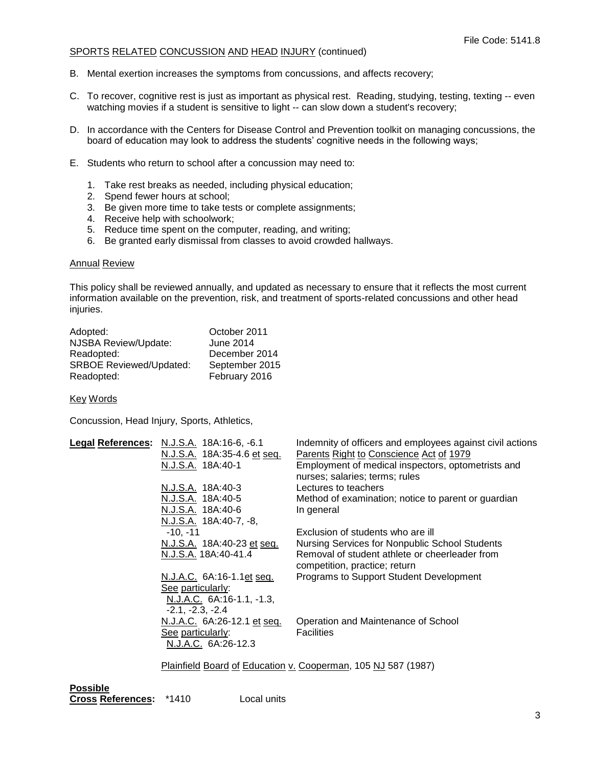### SPORTS RELATED CONCUSSION AND HEAD INJURY (continued)

- B. Mental exertion increases the symptoms from concussions, and affects recovery;
- C. To recover, cognitive rest is just as important as physical rest. Reading, studying, testing, texting -- even watching movies if a student is sensitive to light -- can slow down a student's recovery;
- D. In accordance with the Centers for Disease Control and Prevention toolkit on managing concussions, the board of education may look to address the students' cognitive needs in the following ways;
- E. Students who return to school after a concussion may need to:
	- 1. Take rest breaks as needed, including physical education;
	- 2. Spend fewer hours at school;
	- 3. Be given more time to take tests or complete assignments;
	- 4. Receive help with schoolwork;
	- 5. Reduce time spent on the computer, reading, and writing;
	- 6. Be granted early dismissal from classes to avoid crowded hallways.

#### Annual Review

This policy shall be reviewed annually, and updated as necessary to ensure that it reflects the most current information available on the prevention, risk, and treatment of sports-related concussions and other head injuries.

| Adopted:                       | October 2011   |
|--------------------------------|----------------|
| NJSBA Review/Update:           | June 2014      |
| Readopted:                     | December 2014  |
| <b>SRBOE Reviewed/Updated:</b> | September 2015 |
| Readopted:                     | February 2016  |

Key Words

Concussion, Head Injury, Sports, Athletics,

| Legal References: N.J.S.A. 18A:16-6, -6.1<br>N.J.S.A. 18A:35-4.6 et seq.<br>N.J.S.A. 18A:40-1 | Indemnity of officers and employees against civil actions<br>Parents Right to Conscience Act of 1979<br>Employment of medical inspectors, optometrists and<br>nurses; salaries; terms; rules |
|-----------------------------------------------------------------------------------------------|----------------------------------------------------------------------------------------------------------------------------------------------------------------------------------------------|
| N.J.S.A. 18A:40-3                                                                             | Lectures to teachers                                                                                                                                                                         |
| N.J.S.A. 18A:40-5<br>N.J.S.A. 18A:40-6                                                        | Method of examination; notice to parent or guardian                                                                                                                                          |
| N.J.S.A. 18A:40-7, -8,                                                                        | In general                                                                                                                                                                                   |
| $-10. -11$                                                                                    | Exclusion of students who are ill                                                                                                                                                            |
| N.J.S.A. 18A:40-23 et seq.                                                                    | Nursing Services for Nonpublic School Students                                                                                                                                               |
| N.J.S.A. 18A:40-41.4                                                                          | Removal of student athlete or cheerleader from<br>competition, practice; return                                                                                                              |
| N.J.A.C. 6A:16-1.1et seq.                                                                     | Programs to Support Student Development                                                                                                                                                      |
| See particularly:<br>N.J.A.C. 6A:16-1.1, -1.3,<br>$-2.1, -2.3, -2.4$                          |                                                                                                                                                                                              |
| N.J.A.C. 6A:26-12.1 et seq.                                                                   | Operation and Maintenance of School                                                                                                                                                          |
| See particularly:<br>N.J.A.C. 6A:26-12.3                                                      | <b>Facilities</b>                                                                                                                                                                            |
|                                                                                               | Plainfield Board of Education v. Cooperman, 105 NJ 587 (1987)                                                                                                                                |

**Possible Cross References:** \*1410 Local units